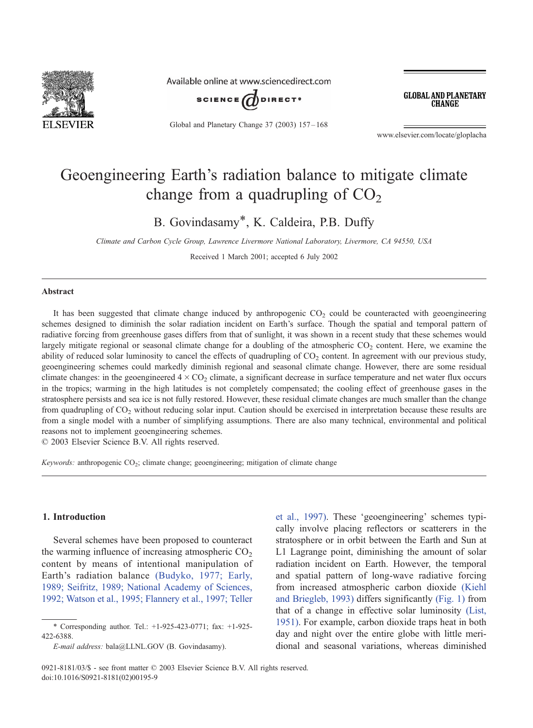

Available online at www.sciencedirect.com



Global and Planetary Change 37 (2003) 157 – 168

**GLOBAL AND PLANETARY CHANGE** 

www.elsevier.com/locate/gloplacha

# Geoengineering Earth's radiation balance to mitigate climate change from a quadrupling of  $CO<sub>2</sub>$

B. Govindasamy\*, K. Caldeira, P.B. Duffy

Climate and Carbon Cycle Group, Lawrence Livermore National Laboratory, Livermore, CA 94550, USA

Received 1 March 2001; accepted 6 July 2002

#### Abstract

It has been suggested that climate change induced by anthropogenic  $CO<sub>2</sub>$  could be counteracted with geoengineering schemes designed to diminish the solar radiation incident on Earth's surface. Though the spatial and temporal pattern of radiative forcing from greenhouse gases differs from that of sunlight, it was shown in a recent study that these schemes would largely mitigate regional or seasonal climate change for a doubling of the atmospheric  $CO<sub>2</sub>$  content. Here, we examine the ability of reduced solar luminosity to cancel the effects of quadrupling of  $CO<sub>2</sub>$  content. In agreement with our previous study, geoengineering schemes could markedly diminish regional and seasonal climate change. However, there are some residual climate changes: in the geoengineered  $4 \times CO_2$  climate, a significant decrease in surface temperature and net water flux occurs in the tropics; warming in the high latitudes is not completely compensated; the cooling effect of greenhouse gases in the stratosphere persists and sea ice is not fully restored. However, these residual climate changes are much smaller than the change from quadrupling of CO<sub>2</sub> without reducing solar input. Caution should be exercised in interpretation because these results are from a single model with a number of simplifying assumptions. There are also many technical, environmental and political reasons not to implement geoengineering schemes.

 $\odot$  2003 Elsevier Science B.V. All rights reserved.

Keywords: anthropogenic CO<sub>2</sub>; climate change; geoengineering; mitigation of climate change

# 1. Introduction

Several schemes have been proposed to counteract the warming influence of increasing atmospheric  $CO<sub>2</sub>$ content by means of intentional manipulation of Earth's radiation balance [\(Budyko, 1977; Early,](#page-10-0) 1989; Seifritz, 1989; National Academy of Sciences, 1992; Watson et al., 1995; Flannery et al., 1997; Teller

et al., 1997). These 'geoengineering' schemes typically involve placing reflectors or scatterers in the stratosphere or in orbit between the Earth and Sun at L1 Lagrange point, diminishing the amount of solar radiation incident on Earth. However, the temporal and spatial pattern of long-wave radiative forcing from increased atmospheric carbon dioxide [\(Kiehl](#page-11-0) and Briegleb, 1993) differs significantly [\(Fig. 1\)](#page-1-0) from that of a change in effective solar luminosity [\(List,](#page-11-0) 1951). For example, carbon dioxide traps heat in both day and night over the entire globe with little meridional and seasonal variations, whereas diminished

<sup>\*</sup> Corresponding author. Tel.: +1-925-423-0771; fax: +1-925- 422-6388.

E-mail address: bala@LLNL.GOV (B. Govindasamy).

<sup>0921-8181/03/\$ -</sup> see front matter © 2003 Elsevier Science B.V. All rights reserved. doi:10.1016/S0921-8181(02)00195-9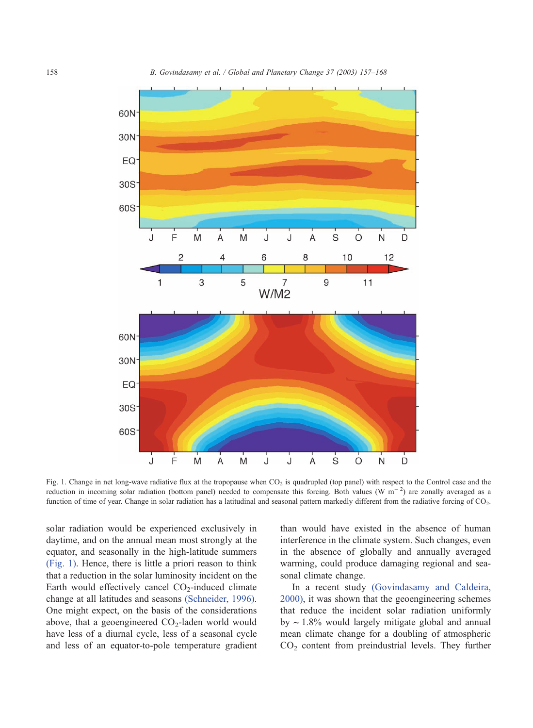<span id="page-1-0"></span>

Fig. 1. Change in net long-wave radiative flux at the tropopause when  $CO<sub>2</sub>$  is quadrupled (top panel) with respect to the Control case and the reduction in incoming solar radiation (bottom panel) needed to compensate this forcing. Both values  $(W \ m^{-2})$  are zonally averaged as a function of time of year. Change in solar radiation has a latitudinal and seasonal pattern markedly different from the radiative forcing of CO<sub>2</sub>.

solar radiation would be experienced exclusively in daytime, and on the annual mean most strongly at the equator, and seasonally in the high-latitude summers (Fig. 1). Hence, there is little a priori reason to think that a reduction in the solar luminosity incident on the Earth would effectively cancel  $CO<sub>2</sub>$ -induced climate change at all latitudes and seasons [\(Schneider, 1996\).](#page-11-0) One might expect, on the basis of the considerations above, that a geoengineered  $CO<sub>2</sub>$ -laden world would have less of a diurnal cycle, less of a seasonal cycle and less of an equator-to-pole temperature gradient than would have existed in the absence of human interference in the climate system. Such changes, even in the absence of globally and annually averaged warming, could produce damaging regional and seasonal climate change.

In a recent study [\(Govindasamy and Caldeira,](#page-10-0) 2000), it was shown that the geoengineering schemes that reduce the incident solar radiation uniformly by  $\sim$  1.8% would largely mitigate global and annual mean climate change for a doubling of atmospheric CO2 content from preindustrial levels. They further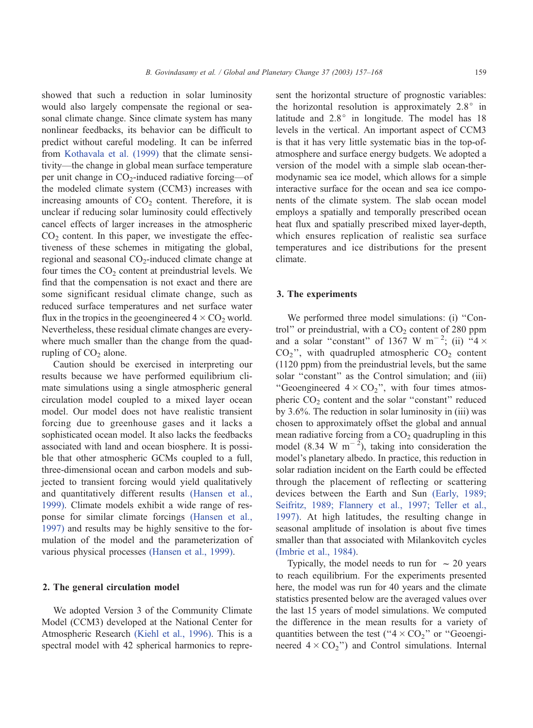showed that such a reduction in solar luminosity would also largely compensate the regional or seasonal climate change. Since climate system has many nonlinear feedbacks, its behavior can be difficult to predict without careful modeling. It can be inferred from [Kothavala et al. \(1999\)](#page-11-0) that the climate sensitivity—the change in global mean surface temperature per unit change in  $CO_2$ -induced radiative forcing—of the modeled climate system (CCM3) increases with increasing amounts of  $CO<sub>2</sub>$  content. Therefore, it is unclear if reducing solar luminosity could effectively cancel effects of larger increases in the atmospheric  $CO<sub>2</sub>$  content. In this paper, we investigate the effectiveness of these schemes in mitigating the global, regional and seasonal  $CO<sub>2</sub>$ -induced climate change at four times the  $CO<sub>2</sub>$  content at preindustrial levels. We find that the compensation is not exact and there are some significant residual climate change, such as reduced surface temperatures and net surface water flux in the tropics in the geoengineered  $4 \times CO_2$  world. Nevertheless, these residual climate changes are everywhere much smaller than the change from the quad-

Caution should be exercised in interpreting our results because we have performed equilibrium climate simulations using a single atmospheric general circulation model coupled to a mixed layer ocean model. Our model does not have realistic transient forcing due to greenhouse gases and it lacks a sophisticated ocean model. It also lacks the feedbacks associated with land and ocean biosphere. It is possible that other atmospheric GCMs coupled to a full, three-dimensional ocean and carbon models and subjected to transient forcing would yield qualitatively and quantitatively different results [\(Hansen et al.,](#page-10-0) 1999). Climate models exhibit a wide range of response for similar climate forcings [\(Hansen et al.,](#page-10-0) 1997) and results may be highly sensitive to the formulation of the model and the parameterization of various physical processes [\(Hansen et al., 1999\).](#page-10-0)

## 2. The general circulation model

rupling of  $CO<sub>2</sub>$  alone.

We adopted Version 3 of the Community Climate Model (CCM3) developed at the National Center for Atmospheric Research [\(Kiehl et al., 1996\).](#page-11-0) This is a spectral model with 42 spherical harmonics to represent the horizontal structure of prognostic variables: the horizontal resolution is approximately  $2.8^\circ$  in latitude and  $2.8^\circ$  in longitude. The model has 18 levels in the vertical. An important aspect of CCM3 is that it has very little systematic bias in the top-ofatmosphere and surface energy budgets. We adopted a version of the model with a simple slab ocean-thermodynamic sea ice model, which allows for a simple interactive surface for the ocean and sea ice components of the climate system. The slab ocean model employs a spatially and temporally prescribed ocean heat flux and spatially prescribed mixed layer-depth, which ensures replication of realistic sea surface temperatures and ice distributions for the present climate.

# 3. The experiments

We performed three model simulations: (i) "Control" or preindustrial, with a  $CO<sub>2</sub>$  content of 280 ppm and a solar "constant" of 1367 W m<sup>-2</sup>; (ii)  $4 \times$  $CO<sub>2</sub>$ ", with quadrupled atmospheric  $CO<sub>2</sub>$  content (1120 ppm) from the preindustrial levels, but the same solar "constant" as the Control simulation; and (iii) "Geoengineered  $4 \times CO_2$ ", with four times atmospheric  $CO<sub>2</sub>$  content and the solar "constant" reduced by 3.6%. The reduction in solar luminosity in (iii) was chosen to approximately offset the global and annual mean radiative forcing from a  $CO<sub>2</sub>$  quadrupling in this model (8.34 W m<sup>-2</sup>), taking into consideration the model's planetary albedo. In practice, this reduction in solar radiation incident on the Earth could be effected through the placement of reflecting or scattering devices between the Earth and Sun [\(Early, 1989;](#page-10-0) Seifritz, 1989; Flannery et al., 1997; Teller et al., 1997). At high latitudes, the resulting change in seasonal amplitude of insolation is about five times smaller than that associated with Milankovitch cycles [\(Imbrie et al., 1984\).](#page-11-0)

Typically, the model needs to run for  $\sim$  20 years to reach equilibrium. For the experiments presented here, the model was run for 40 years and the climate statistics presented below are the averaged values over the last 15 years of model simulations. We computed the difference in the mean results for a variety of quantities between the test (" $4 \times CO_2$ " or "Geoengineered  $4 \times CO_2$ ") and Control simulations. Internal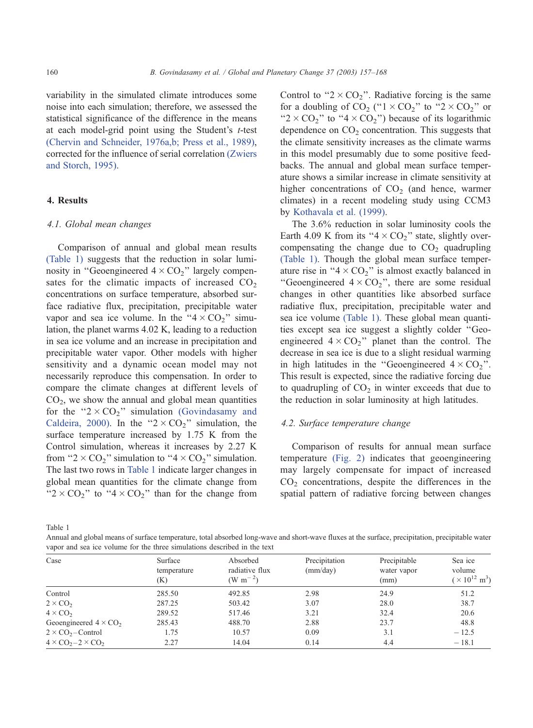<span id="page-3-0"></span>variability in the simulated climate introduces some noise into each simulation; therefore, we assessed the statistical significance of the difference in the means at each model-grid point using the Student's t-test [\(Chervin and Schneider, 1976a,b; Press et al., 1989\),](#page-10-0) corrected for the influence of serial correlation [\(Zwiers](#page-11-0) and Storch, 1995).

# 4. Results

## 4.1. Global mean changes

Comparison of annual and global mean results (Table 1) suggests that the reduction in solar luminosity in "Geoengineered  $4 \times CO_2$ " largely compensates for the climatic impacts of increased  $CO<sub>2</sub>$ concentrations on surface temperature, absorbed surface radiative flux, precipitation, precipitable water vapor and sea ice volume. In the " $4 \times CO_2$ " simulation, the planet warms 4.02 K, leading to a reduction in sea ice volume and an increase in precipitation and precipitable water vapor. Other models with higher sensitivity and a dynamic ocean model may not necessarily reproduce this compensation. In order to compare the climate changes at different levels of  $CO<sub>2</sub>$ , we show the annual and global mean quantities for the " $2 \times CO_2$ " simulation [\(Govindasamy and](#page-10-0) Caldeira, 2000). In the " $2 \times CO_2$ " simulation, the surface temperature increased by 1.75 K from the Control simulation, whereas it increases by 2.27 K from "2  $\times$  CO<sub>2</sub>" simulation to "4  $\times$  CO<sub>2</sub>" simulation. The last two rows in Table 1 indicate larger changes in global mean quantities for the climate change from " $2 \times CO_2$ " to " $4 \times CO_2$ " than for the change from Control to " $2 \times CO_2$ ". Radiative forcing is the same for a doubling of  $CO_2$  (" $1 \times CO_2$ " to " $2 \times CO_2$ " or " $2 \times CO_2$ " to " $4 \times CO_2$ ") because of its logarithmic dependence on  $CO<sub>2</sub>$  concentration. This suggests that the climate sensitivity increases as the climate warms in this model presumably due to some positive feedbacks. The annual and global mean surface temperature shows a similar increase in climate sensitivity at higher concentrations of  $CO<sub>2</sub>$  (and hence, warmer climates) in a recent modeling study using CCM3 by [Kothavala et al. \(1999\).](#page-11-0)

The 3.6% reduction in solar luminosity cools the Earth 4.09 K from its " $4 \times CO_2$ " state, slightly overcompensating the change due to  $CO<sub>2</sub>$  quadrupling (Table 1). Though the global mean surface temperature rise in " $4 \times CO_2$ " is almost exactly balanced in "Geoengineered  $4 \times CO_2$ ", there are some residual changes in other quantities like absorbed surface radiative flux, precipitation, precipitable water and sea ice volume (Table 1). These global mean quantities except sea ice suggest a slightly colder ''Geoengineered  $4 \times CO<sub>2</sub>$ " planet than the control. The decrease in sea ice is due to a slight residual warming in high latitudes in the "Geoengineered  $4 \times CO_2$ ". This result is expected, since the radiative forcing due to quadrupling of  $CO<sub>2</sub>$  in winter exceeds that due to the reduction in solar luminosity at high latitudes.

#### 4.2. Surface temperature change

Comparison of results for annual mean surface temperature [\(Fig. 2\)](#page-4-0) indicates that geoengineering may largely compensate for impact of increased  $CO<sub>2</sub>$  concentrations, despite the differences in the spatial pattern of radiative forcing between changes

Table 1

Annual and global means of surface temperature, total absorbed long-wave and short-wave fluxes at the surface, precipitation, precipitable water vapor and sea ice volume for the three simulations described in the text

| Case                          | Surface<br>temperature | Absorbed<br>radiative flux<br>(W m <sup>-2</sup> ) | Precipitation<br>(mm/day) | Precipitable<br>water vapor | Sea ice<br>volume<br>$(\times 10^{12} \text{ m}^3)$ |
|-------------------------------|------------------------|----------------------------------------------------|---------------------------|-----------------------------|-----------------------------------------------------|
|                               | (K)                    |                                                    |                           | (mm)                        |                                                     |
| Control                       | 285.50                 | 492.85                                             | 2.98                      | 24.9                        | 51.2                                                |
| $2 \times CO2$                | 287.25                 | 503.42                                             | 3.07                      | 28.0                        | 38.7                                                |
| $4 \times CO2$                | 289.52                 | 517.46                                             | 3.21                      | 32.4                        | 20.6                                                |
| Geoengineered $4 \times CO2$  | 285.43                 | 488.70                                             | 2.88                      | 23.7                        | 48.8                                                |
| $2 \times CO2 - Control$      | 1.75                   | 10.57                                              | 0.09                      | 3.1                         | $-12.5$                                             |
| $4 \times CO2 - 2 \times CO2$ | 2.27                   | 14.04                                              | 0.14                      | 4.4                         | $-18.1$                                             |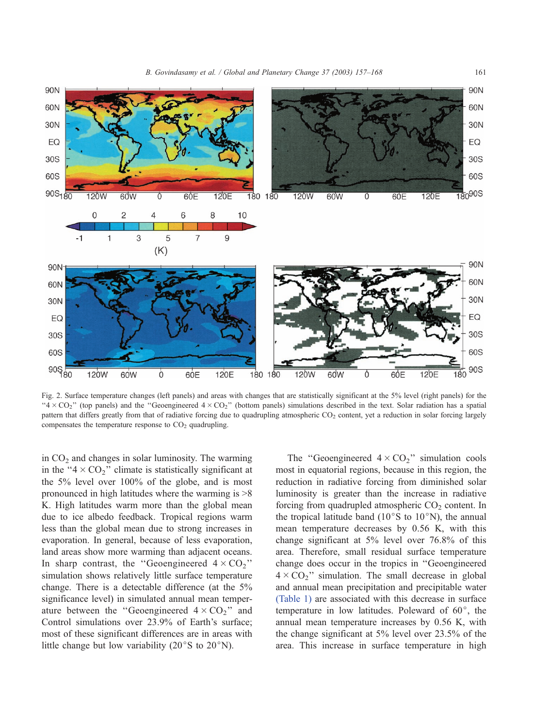<span id="page-4-0"></span>

Fig. 2. Surface temperature changes (left panels) and areas with changes that are statistically significant at the 5% level (right panels) for the " $4 \times CO$ " (top panels) and the "Geoengineered  $4 \times CO$ " (bottom panels) simulations described in the text. Solar radiation has a spatial pattern that differs greatly from that of radiative forcing due to quadrupling atmospheric CO<sub>2</sub> content, yet a reduction in solar forcing largely compensates the temperature response to  $CO<sub>2</sub>$  quadrupling.

in  $CO<sub>2</sub>$  and changes in solar luminosity. The warming in the " $4 \times CO_2$ " climate is statistically significant at the 5% level over 100% of the globe, and is most pronounced in high latitudes where the warming is >8 K. High latitudes warm more than the global mean due to ice albedo feedback. Tropical regions warm less than the global mean due to strong increases in evaporation. In general, because of less evaporation, land areas show more warming than adjacent oceans. In sharp contrast, the "Geoengineered  $4 \times CO_2$ " simulation shows relatively little surface temperature change. There is a detectable difference (at the 5% significance level) in simulated annual mean temperature between the "Geoengineered  $4 \times CO_2$ " and Control simulations over 23.9% of Earth's surface; most of these significant differences are in areas with little change but low variability ( $20^{\circ}$ S to  $20^{\circ}$ N).

The "Geoengineered  $4 \times CO_2$ " simulation cools most in equatorial regions, because in this region, the reduction in radiative forcing from diminished solar luminosity is greater than the increase in radiative forcing from quadrupled atmospheric  $CO<sub>2</sub>$  content. In the tropical latitude band ( $10^{\circ}$ S to  $10^{\circ}$ N), the annual mean temperature decreases by 0.56 K, with this change significant at 5% level over 76.8% of this area. Therefore, small residual surface temperature change does occur in the tropics in ''Geoengineered  $4 \times CO<sub>2</sub>$ " simulation. The small decrease in global and annual mean precipitation and precipitable water [\(Table 1\)](#page-3-0) are associated with this decrease in surface temperature in low latitudes. Poleward of  $60^\circ$ , the annual mean temperature increases by 0.56 K, with the change significant at 5% level over 23.5% of the area. This increase in surface temperature in high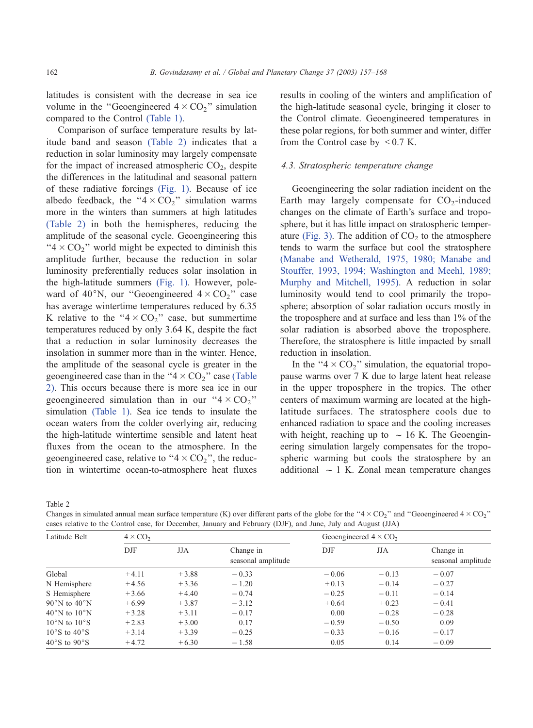latitudes is consistent with the decrease in sea ice volume in the "Geoengineered  $4 \times CO_2$ " simulation compared to the Control [\(Table 1\).](#page-3-0)

Comparison of surface temperature results by latitude band and season (Table 2) indicates that a reduction in solar luminosity may largely compensate for the impact of increased atmospheric  $CO<sub>2</sub>$ , despite the differences in the latitudinal and seasonal pattern of these radiative forcings [\(Fig. 1\).](#page-1-0) Because of ice albedo feedback, the " $4 \times CO_2$ " simulation warms more in the winters than summers at high latitudes (Table 2) in both the hemispheres, reducing the amplitude of the seasonal cycle. Geoengineering this " $4 \times CO<sub>2</sub>$ " world might be expected to diminish this amplitude further, because the reduction in solar luminosity preferentially reduces solar insolation in the high-latitude summers [\(Fig. 1\).](#page-1-0) However, poleward of 40°N, our "Geoengineered  $4 \times CO_2$ " case has average wintertime temperatures reduced by 6.35 K relative to the " $4 \times CO_2$ " case, but summertime temperatures reduced by only 3.64 K, despite the fact that a reduction in solar luminosity decreases the insolation in summer more than in the winter. Hence, the amplitude of the seasonal cycle is greater in the geoengineered case than in the " $4 \times CO_2$ " case (Table 2). This occurs because there is more sea ice in our geoengineered simulation than in our " $4 \times CO_2$ " simulation [\(Table 1\).](#page-3-0) Sea ice tends to insulate the ocean waters from the colder overlying air, reducing the high-latitude wintertime sensible and latent heat fluxes from the ocean to the atmosphere. In the geoengineered case, relative to " $4 \times CO<sub>2</sub>$ ", the reduction in wintertime ocean-to-atmosphere heat fluxes results in cooling of the winters and amplification of the high-latitude seasonal cycle, bringing it closer to the Control climate. Geoengineered temperatures in these polar regions, for both summer and winter, differ from the Control case by  $\leq 0.7$  K.

#### 4.3. Stratospheric temperature change

Geoengineering the solar radiation incident on the Earth may largely compensate for  $CO<sub>2</sub>$ -induced changes on the climate of Earth's surface and troposphere, but it has little impact on stratospheric temper-ature [\(Fig. 3\).](#page-6-0) The addition of  $CO<sub>2</sub>$  to the atmosphere tends to warm the surface but cool the stratosphere [\(Manabe and Wetherald, 1975, 1980; Manabe and](#page-11-0) Stouffer, 1993, 1994; Washington and Meehl, 1989; Murphy and Mitchell, 1995). A reduction in solar luminosity would tend to cool primarily the troposphere; absorption of solar radiation occurs mostly in the troposphere and at surface and less than 1% of the solar radiation is absorbed above the troposphere. Therefore, the stratosphere is little impacted by small reduction in insolation.

In the " $4 \times CO<sub>2</sub>$ " simulation, the equatorial tropopause warms over 7 K due to large latent heat release in the upper troposphere in the tropics. The other centers of maximum warming are located at the highlatitude surfaces. The stratosphere cools due to enhanced radiation to space and the cooling increases with height, reaching up to  $\sim 16$  K. The Geoengineering simulation largely compensates for the tropospheric warming but cools the stratosphere by an additional  $\sim$  1 K. Zonal mean temperature changes

Table 2

Changes in simulated annual mean surface temperature (K) over different parts of the globe for the "4  $\times$  CO<sub>2</sub>" and "Geoengineered 4  $\times$  CO<sub>2</sub>" cases relative to the Control case, for December, January and February (DJF), and June, July and August (JJA)

| Latitude Belt                    | $4 \times CO2$ |         |                                 | Geoengineered $4 \times CO2$ |            |                                 |
|----------------------------------|----------------|---------|---------------------------------|------------------------------|------------|---------------------------------|
|                                  | DJF            | JJA     | Change in<br>seasonal amplitude | DJF                          | <b>JJA</b> | Change in<br>seasonal amplitude |
| Global                           | $+4.11$        | $+3.88$ | $-0.33$                         | $-0.06$                      | $-0.13$    | $-0.07$                         |
| N Hemisphere                     | $+4.56$        | $+3.36$ | $-1.20$                         | $+0.13$                      | $-0.14$    | $-0.27$                         |
| S Hemisphere                     | $+3.66$        | $+4.40$ | $-0.74$                         | $-0.25$                      | $-0.11$    | $-0.14$                         |
| $90^{\circ}$ N to $40^{\circ}$ N | $+6.99$        | $+3.87$ | $-3.12$                         | $+0.64$                      | $+0.23$    | $-0.41$                         |
| $40^{\circ}$ N to $10^{\circ}$ N | $+3.28$        | $+3.11$ | $-0.17$                         | 0.00                         | $-0.28$    | $-0.28$                         |
| $10^{\circ}$ N to $10^{\circ}$ S | $+2.83$        | $+3.00$ | 0.17                            | $-0.59$                      | $-0.50$    | 0.09                            |
| $10^{\circ}$ S to $40^{\circ}$ S | $+3.14$        | $+3.39$ | $-0.25$                         | $-0.33$                      | $-0.16$    | $-0.17$                         |
| $40^{\circ}$ S to $90^{\circ}$ S | $+4.72$        | $+6.30$ | $-1.58$                         | 0.05                         | 0.14       | $-0.09$                         |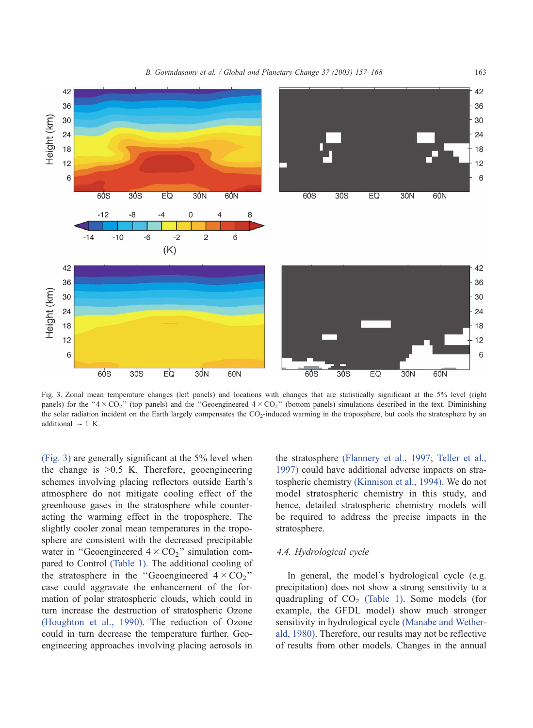<span id="page-6-0"></span>

Fig. 3. Zonal mean temperature changes (left panels) and locations with changes that are statistically significant at the 5% level (right panels) for the "4  $\times$  CO<sub>2</sub>" (top panels) and the "Geoengineered 4  $\times$  CO<sub>2</sub>" (bottom panels) simulations described in the text. Diminishing the solar radiation incident on the Earth largely compensates the CO<sub>2</sub>-induced warming in the troposphere, but cools the stratosphere by an additional  $\sim$  1 K.

(Fig. 3) are generally significant at the 5% level when the change is  $>0.5$  K. Therefore, geoengineering schemes involving placing reflectors outside Earth's atmosphere do not mitigate cooling effect of the greenhouse gases in the stratosphere while counteracting the warming effect in the troposphere. The slightly cooler zonal mean temperatures in the troposphere are consistent with the decreased precipitable water in "Geoengineered  $4 \times CO_2$ " simulation compared to Control [\(Table 1\).](#page-3-0) The additional cooling of the stratosphere in the "Geoengineered  $4 \times CO<sub>2</sub>$ " case could aggravate the enhancement of the formation of polar stratospheric clouds, which could in turn increase the destruction of stratospheric Ozone [\(Houghton et al., 1990\).](#page-11-0) The reduction of Ozone could in turn decrease the temperature further. Geoengineering approaches involving placing aerosols in

the stratosphere [\(Flannery et al., 1997; Teller et al.,](#page-10-0) 1997) could have additional adverse impacts on stratospheric chemistry [\(Kinnison et al., 1994\).](#page-11-0) We do not model stratospheric chemistry in this study, and hence, detailed stratospheric chemistry models will be required to address the precise impacts in the stratosphere.

# 4.4. Hydrological cycle

In general, the model's hydrological cycle (e.g. precipitation) does not show a strong sensitivity to a quadrupling of  $CO<sub>2</sub>$  [\(Table 1\).](#page-3-0) Some models (for example, the GFDL model) show much stronger sensitivity in hydrological cycle [\(Manabe and Wether](#page-11-0)ald, 1980). Therefore, our results may not be reflective of results from other models. Changes in the annual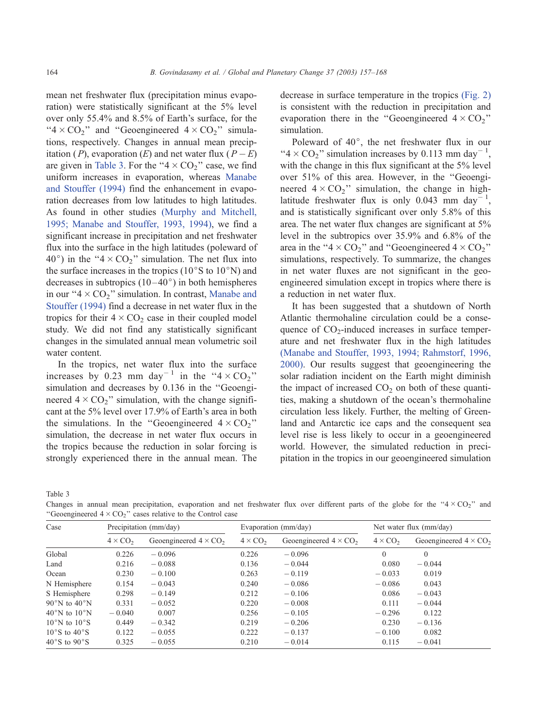mean net freshwater flux (precipitation minus evaporation) were statistically significant at the 5% level over only 55.4% and 8.5% of Earth's surface, for the " $4 \times CO_2$ " and "Geoengineered  $4 \times CO_2$ " simulations, respectively. Changes in annual mean precipitation (P), evaporation (E) and net water flux ( $P - E$ ) are given in Table 3. For the " $4 \times CO_2$ " case, we find uniform increases in evaporation, whereas [Manabe](#page-11-0) and Stouffer (1994) find the enhancement in evaporation decreases from low latitudes to high latitudes. As found in other studies [\(Murphy and Mitchell,](#page-11-0) 1995; Manabe and Stouffer, 1993, 1994), we find a significant increase in precipitation and net freshwater flux into the surface in the high latitudes (poleward of 40°) in the "4  $\times$  CO<sub>2</sub>" simulation. The net flux into the surface increases in the tropics ( $10^{\circ}$ S to  $10^{\circ}$ N) and decreases in subtropics  $(10-40^{\circ})$  in both hemispheres in our " $4 \times CO_2$ " simulation. In contrast, [Manabe and](#page-11-0) Stouffer (1994) find a decrease in net water flux in the tropics for their  $4 \times CO_2$  case in their coupled model study. We did not find any statistically significant changes in the simulated annual mean volumetric soil water content.

In the tropics, net water flux into the surface increases by 0.23 mm day<sup>-1</sup> in the " $4 \times CO_2$ " simulation and decreases by 0.136 in the ''Geoengineered  $4 \times CO_2$ " simulation, with the change significant at the 5% level over 17.9% of Earth's area in both the simulations. In the "Geoengineered  $4 \times CO<sub>2</sub>$ " simulation, the decrease in net water flux occurs in the tropics because the reduction in solar forcing is strongly experienced there in the annual mean. The

decrease in surface temperature in the tropics [\(Fig. 2\)](#page-4-0) is consistent with the reduction in precipitation and evaporation there in the "Geoengineered  $4 \times CO<sub>2</sub>$ " simulation.

Poleward of  $40^{\circ}$ , the net freshwater flux in our " $4 \times CO_2$ " simulation increases by 0.113 mm day<sup>-1</sup>, with the change in this flux significant at the 5% level over 51% of this area. However, in the ''Geoengineered  $4 \times CO_2$ " simulation, the change in highlatitude freshwater flux is only 0.043 mm day<sup>-1</sup>, and is statistically significant over only 5.8% of this area. The net water flux changes are significant at 5% level in the subtropics over 35.9% and 6.8% of the area in the " $4 \times CO_2$ " and "Geoengineered  $4 \times CO_2$ " simulations, respectively. To summarize, the changes in net water fluxes are not significant in the geoengineered simulation except in tropics where there is a reduction in net water flux.

It has been suggested that a shutdown of North Atlantic thermohaline circulation could be a consequence of  $CO<sub>2</sub>$ -induced increases in surface temperature and net freshwater flux in the high latitudes [\(Manabe and Stouffer, 1993, 1994; Rahmstorf, 1996,](#page-11-0) 2000). Our results suggest that geoengineering the solar radiation incident on the Earth might diminish the impact of increased  $CO<sub>2</sub>$  on both of these quantities, making a shutdown of the ocean's thermohaline circulation less likely. Further, the melting of Greenland and Antarctic ice caps and the consequent sea level rise is less likely to occur in a geoengineered world. However, the simulated reduction in precipitation in the tropics in our geoengineered simulation

Table 3

Changes in annual mean precipitation, evaporation and net freshwater flux over different parts of the globe for the " $4 \times CO<sub>2</sub>$ " and "Geoengineered  $4 \times CO<sub>2</sub>$ " cases relative to the Control case

| Case                             | Precipitation (mm/day) |                              | Evaporation (mm/day) |                              | Net water flux (mm/day) |                              |
|----------------------------------|------------------------|------------------------------|----------------------|------------------------------|-------------------------|------------------------------|
|                                  | $4 \times CO2$         | Geoengineered $4 \times CO2$ | $4 \times CO2$       | Geoengineered $4 \times CO2$ | $4 \times CO2$          | Geoengineered $4 \times CO2$ |
| Global                           | 0.226                  | $-0.096$                     | 0.226                | $-0.096$                     | $\theta$                | $\Omega$                     |
| Land                             | 0.216                  | $-0.088$                     | 0.136                | $-0.044$                     | 0.080                   | $-0.044$                     |
| Ocean                            | 0.230                  | $-0.100$                     | 0.263                | $-0.119$                     | $-0.033$                | 0.019                        |
| N Hemisphere                     | 0.154                  | $-0.043$                     | 0.240                | $-0.086$                     | $-0.086$                | 0.043                        |
| S Hemisphere                     | 0.298                  | $-0.149$                     | 0.212                | $-0.106$                     | 0.086                   | $-0.043$                     |
| $90^{\circ}$ N to $40^{\circ}$ N | 0.331                  | $-0.052$                     | 0.220                | $-0.008$                     | 0.111                   | $-0.044$                     |
| $40^{\circ}$ N to $10^{\circ}$ N | $-0.040$               | 0.007                        | 0.256                | $-0.105$                     | $-0.296$                | 0.122                        |
| $10^{\circ}$ N to $10^{\circ}$ S | 0.449                  | $-0.342$                     | 0.219                | $-0.206$                     | 0.230                   | $-0.136$                     |
| $10^{\circ}$ S to $40^{\circ}$ S | 0.122                  | $-0.055$                     | 0.222                | $-0.137$                     | $-0.100$                | 0.082                        |
| $40^{\circ}$ S to $90^{\circ}$ S | 0.325                  | $-0.055$                     | 0.210                | $-0.014$                     | 0.115                   | $-0.041$                     |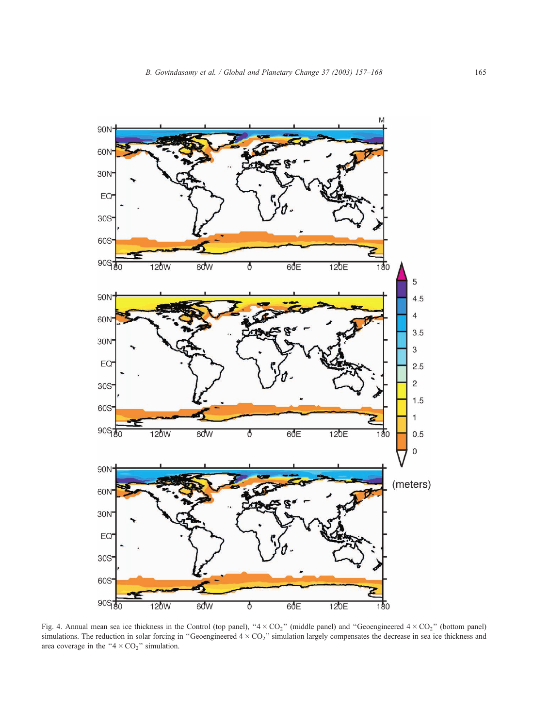<span id="page-8-0"></span>

Fig. 4. Annual mean sea ice thickness in the Control (top panel), " $4 \times CO_2$ " (middle panel) and "Geoengineered  $4 \times CO_2$ " (bottom panel) simulations. The reduction in solar forcing in "Geoengineered  $4 \times CO<sub>2</sub>$ " simulation largely compensates the decrease in sea ice thickness and area coverage in the " $4 \times CO<sub>2</sub>$ " simulation.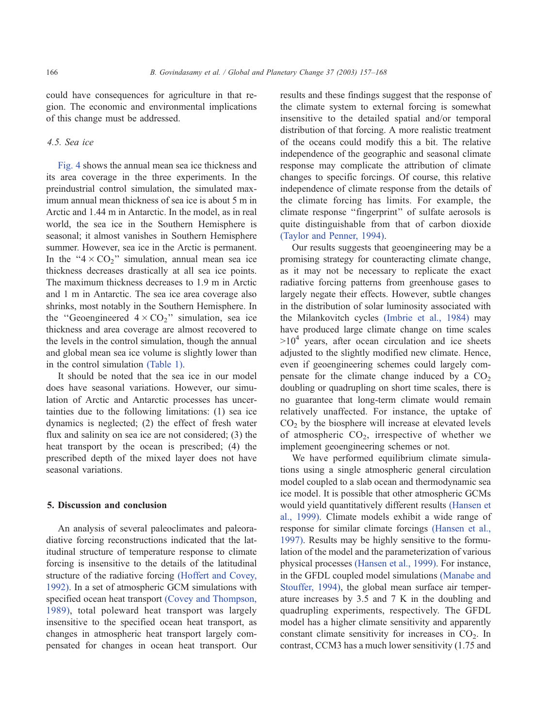could have consequences for agriculture in that region. The economic and environmental implications of this change must be addressed.

#### 4.5. Sea ice

[Fig. 4](#page-8-0) shows the annual mean sea ice thickness and its area coverage in the three experiments. In the preindustrial control simulation, the simulated maximum annual mean thickness of sea ice is about 5 m in Arctic and 1.44 m in Antarctic. In the model, as in real world, the sea ice in the Southern Hemisphere is seasonal; it almost vanishes in Southern Hemisphere summer. However, sea ice in the Arctic is permanent. In the " $4 \times CO_2$ " simulation, annual mean sea ice thickness decreases drastically at all sea ice points. The maximum thickness decreases to 1.9 m in Arctic and 1 m in Antarctic. The sea ice area coverage also shrinks, most notably in the Southern Hemisphere. In the "Geoengineered  $4 \times CO_2$ " simulation, sea ice thickness and area coverage are almost recovered to the levels in the control simulation, though the annual and global mean sea ice volume is slightly lower than in the control simulation [\(Table 1\).](#page-3-0)

It should be noted that the sea ice in our model does have seasonal variations. However, our simulation of Arctic and Antarctic processes has uncertainties due to the following limitations: (1) sea ice dynamics is neglected; (2) the effect of fresh water flux and salinity on sea ice are not considered; (3) the heat transport by the ocean is prescribed; (4) the prescribed depth of the mixed layer does not have seasonal variations.

#### 5. Discussion and conclusion

An analysis of several paleoclimates and paleoradiative forcing reconstructions indicated that the latitudinal structure of temperature response to climate forcing is insensitive to the details of the latitudinal structure of the radiative forcing [\(Hoffert and Covey,](#page-10-0) 1992). In a set of atmospheric GCM simulations with specified ocean heat transport [\(Covey and Thompson,](#page-10-0) 1989), total poleward heat transport was largely insensitive to the specified ocean heat transport, as changes in atmospheric heat transport largely compensated for changes in ocean heat transport. Our results and these findings suggest that the response of the climate system to external forcing is somewhat insensitive to the detailed spatial and/or temporal distribution of that forcing. A more realistic treatment of the oceans could modify this a bit. The relative independence of the geographic and seasonal climate response may complicate the attribution of climate changes to specific forcings. Of course, this relative independence of climate response from the details of the climate forcing has limits. For example, the climate response ''fingerprint'' of sulfate aerosols is quite distinguishable from that of carbon dioxide [\(Taylor and Penner, 1994\).](#page-11-0)

Our results suggests that geoengineering may be a promising strategy for counteracting climate change, as it may not be necessary to replicate the exact radiative forcing patterns from greenhouse gases to largely negate their effects. However, subtle changes in the distribution of solar luminosity associated with the Milankovitch cycles [\(Imbrie et al., 1984\)](#page-11-0) may have produced large climate change on time scales  $>10<sup>4</sup>$  years, after ocean circulation and ice sheets adjusted to the slightly modified new climate. Hence, even if geoengineering schemes could largely compensate for the climate change induced by a  $CO<sub>2</sub>$ doubling or quadrupling on short time scales, there is no guarantee that long-term climate would remain relatively unaffected. For instance, the uptake of  $CO<sub>2</sub>$  by the biosphere will increase at elevated levels of atmospheric  $CO<sub>2</sub>$ , irrespective of whether we implement geoengineering schemes or not.

We have performed equilibrium climate simulations using a single atmospheric general circulation model coupled to a slab ocean and thermodynamic sea ice model. It is possible that other atmospheric GCMs would yield quantitatively different results [\(Hansen et](#page-10-0) al., 1999). Climate models exhibit a wide range of response for similar climate forcings [\(Hansen et al.,](#page-10-0) 1997). Results may be highly sensitive to the formulation of the model and the parameterization of various physical processes [\(Hansen et al., 1999\).](#page-10-0) For instance, in the GFDL coupled model simulations [\(Manabe and](#page-11-0) Stouffer, 1994), the global mean surface air temperature increases by 3.5 and 7 K in the doubling and quadrupling experiments, respectively. The GFDL model has a higher climate sensitivity and apparently constant climate sensitivity for increases in  $CO<sub>2</sub>$ . In contrast, CCM3 has a much lower sensitivity (1.75 and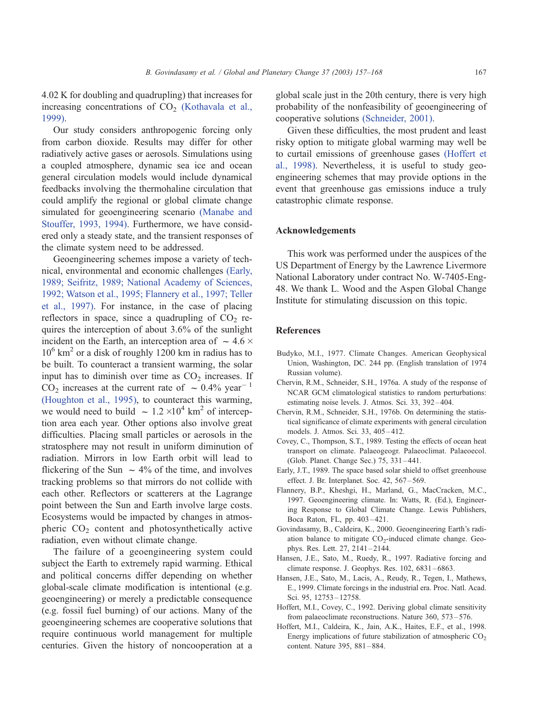<span id="page-10-0"></span>4.02 K for doubling and quadrupling) that increases for increasing concentrations of  $CO<sub>2</sub>$  [\(Kothavala et al.,](#page-11-0) 1999).

Our study considers anthropogenic forcing only from carbon dioxide. Results may differ for other radiatively active gases or aerosols. Simulations using a coupled atmosphere, dynamic sea ice and ocean general circulation models would include dynamical feedbacks involving the thermohaline circulation that could amplify the regional or global climate change simulated for geoengineering scenario [\(Manabe and](#page-11-0) Stouffer, 1993, 1994). Furthermore, we have considered only a steady state, and the transient responses of the climate system need to be addressed.

Geoengineering schemes impose a variety of technical, environmental and economic challenges (Early, 1989; Seifritz, 1989; National Academy of Sciences, 1992; Watson et al., 1995; Flannery et al., 1997; Teller et al., 1997). For instance, in the case of placing reflectors in space, since a quadrupling of  $CO<sub>2</sub>$  requires the interception of about 3.6% of the sunlight incident on the Earth, an interception area of  $\sim 4.6 \times$  $10^6$  km<sup>2</sup> or a disk of roughly 1200 km in radius has to be built. To counteract a transient warming, the solar input has to diminish over time as  $CO<sub>2</sub>$  increases. If  $\overline{CO}_2$  increases at the current rate of  $\sim 0.4\%$  year<sup>-1</sup> [\(Houghton et al., 1995\),](#page-11-0) to counteract this warming, we would need to build  $\sim 1.2 \times 10^4$  km<sup>2</sup> of interception area each year. Other options also involve great difficulties. Placing small particles or aerosols in the stratosphere may not result in uniform diminution of radiation. Mirrors in low Earth orbit will lead to flickering of the Sun  $\sim$  4% of the time, and involves tracking problems so that mirrors do not collide with each other. Reflectors or scatterers at the Lagrange point between the Sun and Earth involve large costs. Ecosystems would be impacted by changes in atmospheric  $CO<sub>2</sub>$  content and photosynthetically active radiation, even without climate change.

The failure of a geoengineering system could subject the Earth to extremely rapid warming. Ethical and political concerns differ depending on whether global-scale climate modification is intentional (e.g. geoengineering) or merely a predictable consequence (e.g. fossil fuel burning) of our actions. Many of the geoengineering schemes are cooperative solutions that require continuous world management for multiple centuries. Given the history of noncooperation at a global scale just in the 20th century, there is very high probability of the nonfeasibility of geoengineering of cooperative solutions [\(Schneider, 2001\).](#page-11-0)

Given these difficulties, the most prudent and least risky option to mitigate global warming may well be to curtail emissions of greenhouse gases (Hoffert et al., 1998). Nevertheless, it is useful to study geoengineering schemes that may provide options in the event that greenhouse gas emissions induce a truly catastrophic climate response.

## Acknowledgements

This work was performed under the auspices of the US Department of Energy by the Lawrence Livermore National Laboratory under contract No. W-7405-Eng-48. We thank L. Wood and the Aspen Global Change Institute for stimulating discussion on this topic.

# References

- Budyko, M.I., 1977. Climate Changes. American Geophysical Union, Washington, DC. 244 pp. (English translation of 1974 Russian volume).
- Chervin, R.M., Schneider, S.H., 1976a. A study of the response of NCAR GCM climatological statistics to random perturbations: estimating noise levels. J. Atmos. Sci. 33, 392 – 404.
- Chervin, R.M., Schneider, S.H., 1976b. On determining the statistical significance of climate experiments with general circulation models. J. Atmos. Sci. 33, 405 – 412.
- Covey, C., Thompson, S.T., 1989. Testing the effects of ocean heat transport on climate. Palaeogeogr. Palaeoclimat. Palaeoecol. (Glob. Planet. Change Sec.) 75, 331 – 441.
- Early, J.T., 1989. The space based solar shield to offset greenhouse effect. J. Br. Interplanet. Soc. 42, 567 – 569.
- Flannery, B.P., Kheshgi, H., Marland, G., MacCracken, M.C., 1997. Geoengineering climate. In: Watts, R. (Ed.), Engineering Response to Global Climate Change. Lewis Publishers, Boca Raton, FL, pp. 403 – 421.
- Govindasamy, B., Caldeira, K., 2000. Geoengineering Earth's radiation balance to mitigate  $CO<sub>2</sub>$ -induced climate change. Geophys. Res. Lett. 27, 2141 – 2144.
- Hansen, J.E., Sato, M., Ruedy, R., 1997. Radiative forcing and climate response. J. Geophys. Res. 102, 6831-6863.
- Hansen, J.E., Sato, M., Lacis, A., Reudy, R., Tegen, I., Mathews, E., 1999. Climate forcings in the industrial era. Proc. Natl. Acad. Sci. 95, 12753 – 12758.
- Hoffert, M.I., Covey, C., 1992. Deriving global climate sensitivity from palaeoclimate reconstructions. Nature 360, 573 – 576.
- Hoffert, M.I., Caldeira, K., Jain, A.K., Haites, E.F., et al., 1998. Energy implications of future stabilization of atmospheric  $CO<sub>2</sub>$ content. Nature 395, 881-884.